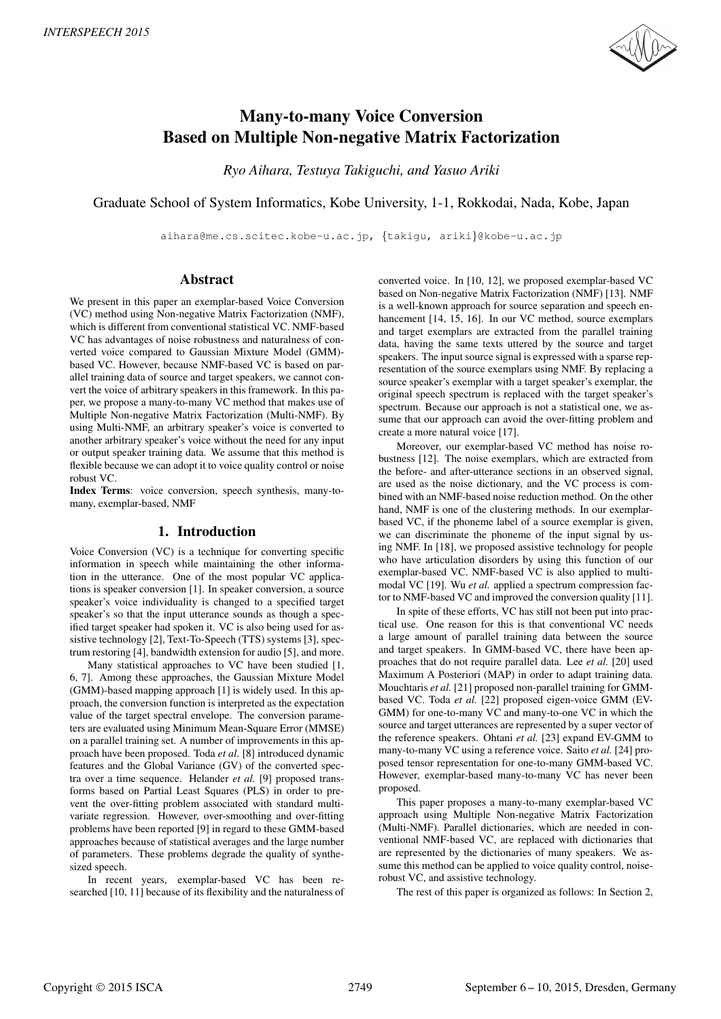

# Many-to-many Voice Conversion Based on Multiple Non-negative Matrix Factorization

*Ryo Aihara, Testuya Takiguchi, and Yasuo Ariki*

Graduate School of System Informatics, Kobe University, 1-1, Rokkodai, Nada, Kobe, Japan

aihara@me.cs.scitec.kobe-u.ac.jp, {takigu, ariki}@kobe-u.ac.jp

# Abstract

We present in this paper an exemplar-based Voice Conversion (VC) method using Non-negative Matrix Factorization (NMF), which is different from conventional statistical VC. NMF-based VC has advantages of noise robustness and naturalness of converted voice compared to Gaussian Mixture Model (GMM) based VC. However, because NMF-based VC is based on parallel training data of source and target speakers, we cannot convert the voice of arbitrary speakers in this framework. In this paper, we propose a many-to-many VC method that makes use of Multiple Non-negative Matrix Factorization (Multi-NMF). By using Multi-NMF, an arbitrary speaker's voice is converted to another arbitrary speaker's voice without the need for any input or output speaker training data. We assume that this method is flexible because we can adopt it to voice quality control or noise robust VC.

Index Terms: voice conversion, speech synthesis, many-tomany, exemplar-based, NMF

## 1. Introduction

Voice Conversion (VC) is a technique for converting specific information in speech while maintaining the other information in the utterance. One of the most popular VC applications is speaker conversion [1]. In speaker conversion, a source speaker's voice individuality is changed to a specified target speaker's so that the input utterance sounds as though a specified target speaker had spoken it. VC is also being used for assistive technology [2], Text-To-Speech (TTS) systems [3], spectrum restoring [4], bandwidth extension for audio [5], and more.

Many statistical approaches to VC have been studied [1, 6, 7]. Among these approaches, the Gaussian Mixture Model (GMM)-based mapping approach [1] is widely used. In this approach, the conversion function is interpreted as the expectation value of the target spectral envelope. The conversion parameters are evaluated using Minimum Mean-Square Error (MMSE) on a parallel training set. A number of improvements in this approach have been proposed. Toda *et al.* [8] introduced dynamic features and the Global Variance (GV) of the converted spectra over a time sequence. Helander *et al.* [9] proposed transforms based on Partial Least Squares (PLS) in order to prevent the over-fitting problem associated with standard multivariate regression. However, over-smoothing and over-fitting problems have been reported [9] in regard to these GMM-based approaches because of statistical averages and the large number of parameters. These problems degrade the quality of synthesized speech.

In recent years, exemplar-based VC has been researched [10, 11] because of its flexibility and the naturalness of converted voice. In [10, 12], we proposed exemplar-based VC based on Non-negative Matrix Factorization (NMF) [13]. NMF is a well-known approach for source separation and speech enhancement [14, 15, 16]. In our VC method, source exemplars and target exemplars are extracted from the parallel training data, having the same texts uttered by the source and target speakers. The input source signal is expressed with a sparse representation of the source exemplars using NMF. By replacing a source speaker's exemplar with a target speaker's exemplar, the original speech spectrum is replaced with the target speaker's spectrum. Because our approach is not a statistical one, we assume that our approach can avoid the over-fitting problem and create a more natural voice [17].

Moreover, our exemplar-based VC method has noise robustness [12]. The noise exemplars, which are extracted from the before- and after-utterance sections in an observed signal, are used as the noise dictionary, and the VC process is combined with an NMF-based noise reduction method. On the other hand, NMF is one of the clustering methods. In our exemplarbased VC, if the phoneme label of a source exemplar is given, we can discriminate the phoneme of the input signal by using NMF. In [18], we proposed assistive technology for people who have articulation disorders by using this function of our exemplar-based VC. NMF-based VC is also applied to multimodal VC [19]. Wu *et al.* applied a spectrum compression factor to NMF-based VC and improved the conversion quality [11].

In spite of these efforts, VC has still not been put into practical use. One reason for this is that conventional VC needs a large amount of parallel training data between the source and target speakers. In GMM-based VC, there have been approaches that do not require parallel data. Lee *et al.* [20] used Maximum A Posteriori (MAP) in order to adapt training data. Mouchtaris *et al.* [21] proposed non-parallel training for GMMbased VC. Toda *et al.* [22] proposed eigen-voice GMM (EV-GMM) for one-to-many VC and many-to-one VC in which the source and target utterances are represented by a super vector of the reference speakers. Ohtani *et al.* [23] expand EV-GMM to many-to-many VC using a reference voice. Saito *et al.* [24] proposed tensor representation for one-to-many GMM-based VC. However, exemplar-based many-to-many VC has never been proposed.

This paper proposes a many-to-many exemplar-based VC approach using Multiple Non-negative Matrix Factorization (Multi-NMF). Parallel dictionaries, which are needed in conventional NMF-based VC, are replaced with dictionaries that are represented by the dictionaries of many speakers. We assume this method can be applied to voice quality control, noiserobust VC, and assistive technology.

The rest of this paper is organized as follows: In Section 2,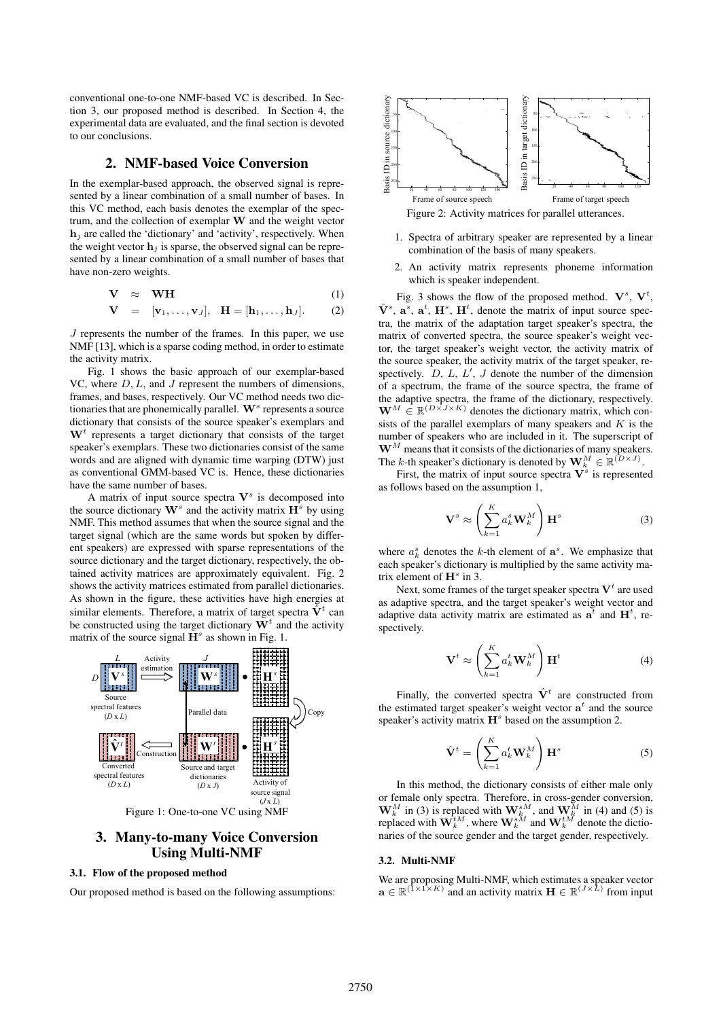conventional one-to-one NMF-based VC is described. In Section 3, our proposed method is described. In Section 4, the experimental data are evaluated, and the final section is devoted to our conclusions.

# 2. NMF-based Voice Conversion

In the exemplar-based approach, the observed signal is represented by a linear combination of a small number of bases. In this VC method, each basis denotes the exemplar of the spectrum, and the collection of exemplar **W** and the weight vector  $\mathbf{h}_i$  are called the 'dictionary' and 'activity', respectively. When the weight vector  $\mathbf{h}_i$  is sparse, the observed signal can be represented by a linear combination of a small number of bases that have non-zero weights.

$$
\mathbf{V} \quad \approx \quad \mathbf{WH} \tag{1}
$$

$$
\mathbf{V} = [\mathbf{v}_1, \dots, \mathbf{v}_J], \quad \mathbf{H} = [\mathbf{h}_1, \dots, \mathbf{h}_J].
$$
 (2)

J represents the number of the frames. In this paper, we use NMF [13], which is a sparse coding method, in order to estimate the activity matrix.

Fig. 1 shows the basic approach of our exemplar-based VC, where  $D, L$ , and J represent the numbers of dimensions, frames, and bases, respectively. Our VC method needs two dictionaries that are phonemically parallel. W<sup>s</sup> represents a source dictionary that consists of the source speaker's exemplars and  $W<sup>t</sup>$  represents a target dictionary that consists of the target speaker's exemplars. These two dictionaries consist of the same words and are aligned with dynamic time warping (DTW) just as conventional GMM-based VC is. Hence, these dictionaries have the same number of bases.

A matrix of input source spectra **V**<sup>s</sup> is decomposed into the source dictionary  $W^s$  and the activity matrix  $H^s$  by using NMF. This method assumes that when the source signal and the target signal (which are the same words but spoken by different speakers) are expressed with sparse representations of the source dictionary and the target dictionary, respectively, the obtained activity matrices are approximately equivalent. Fig. 2 shows the activity matrices estimated from parallel dictionaries. As shown in the figure, these activities have high energies at similar elements. Therefore, a matrix of target spectra  $\hat{\mathbf{V}}^t$  can be constructed using the target dictionary  $W<sup>t</sup>$  and the activity matrix of the source signal  $\mathbf{H}^s$  as shown in Fig. 1.



# 3. Many-to-many Voice Conversion Using Multi-NMF

# 3.1. Flow of the proposed method

Our proposed method is based on the following assumptions:



- 1. Spectra of arbitrary speaker are represented by a linear combination of the basis of many speakers.
- 2. An activity matrix represents phoneme information which is speaker independent.

Fig. 3 shows the flow of the proposed method.  $V^s$ ,  $V^t$ ,  $\hat{\mathbf{V}}^s$ ,  $\mathbf{a}^s$ ,  $\mathbf{a}^t$ ,  $\mathbf{H}^s$ ,  $\mathbf{H}^t$ , denote the matrix of input source spectra, the matrix of the adaptation target speaker's spectra, the matrix of converted spectra, the source speaker's weight vector, the target speaker's weight vector, the activity matrix of the source speaker, the activity matrix of the target speaker, respectively.  $D, L, L', J$  denote the number of the dimension of a spectrum, the frame of the source spectra, the frame of the adaptive spectra, the frame of the dictionary, respectively.  $W^M \in \mathbb{R}^{(D \times J \times K)}$  denotes the dictionary matrix, which consists of the parallel exemplars of many speakers and  $K$  is the number of speakers who are included in it. The superscript of  $W^M$  means that it consists of the dictionaries of many speakers. The k-th speaker's dictionary is denoted by  $\mathbf{W}_k^M \in \mathbb{R}^{(D \times J)}$ .

First, the matrix of input source spectra  $\overrightarrow{V}^s$  is represented as follows based on the assumption 1,

$$
\mathbf{V}^{s} \approx \left(\sum_{k=1}^{K} a_{k}^{s} \mathbf{W}_{k}^{M}\right) \mathbf{H}^{s}
$$
 (3)

where  $a_k^s$  denotes the k-th element of  $\mathbf{a}^s$ . We emphasize that each speaker's dictionary is multiplied by the same activity matrix element of  $\mathbf{H}^s$  in 3.

Next, some frames of the target speaker spectra  $V<sup>t</sup>$  are used as adaptive spectra, and the target speaker's weight vector and adaptive data activity matrix are estimated as  $\mathbf{a}^t$  and  $\mathbf{H}^t$ , respectively.

$$
\mathbf{V}^{t} \approx \left(\sum_{k=1}^{K} a_{k}^{t} \mathbf{W}_{k}^{M}\right) \mathbf{H}^{t}
$$
 (4)

Finally, the converted spectra  $\hat{\mathbf{V}}^t$  are constructed from the estimated target speaker's weight vector  $\mathbf{a}^t$  and the source speaker's activity matrix  $\mathbf{H}^s$  based on the assumption 2.

$$
\hat{\mathbf{V}}^{t} = \left(\sum_{k=1}^{K} a_k^t \mathbf{W}_k^M\right) \mathbf{H}^s
$$
\n(5)

In this method, the dictionary consists of either male only or female only spectra. Therefore, in cross-gender conversion,  $\mathbf{W}_k^M$  in (3) is replaced with  $\mathbf{W}_k^{sM}$ , and  $\mathbf{W}_k^M$  in (4) and (5) is replaced with  $\mathbf{W}_k^{tM}$ , where  $\mathbf{W}_k^{sM}$  and  $\mathbf{W}_k^{tM}$  denote the dictionaries of the source gender and the target gender, respectively.

#### 3.2. Multi-NMF

We are proposing Multi-NMF, which estimates a speaker vector  $\mathbf{a} \in \mathbb{R}^{(1 \times 1 \times K)}$  and an activity matrix  $\mathbf{H} \in \mathbb{R}^{(J \times L)}$  from input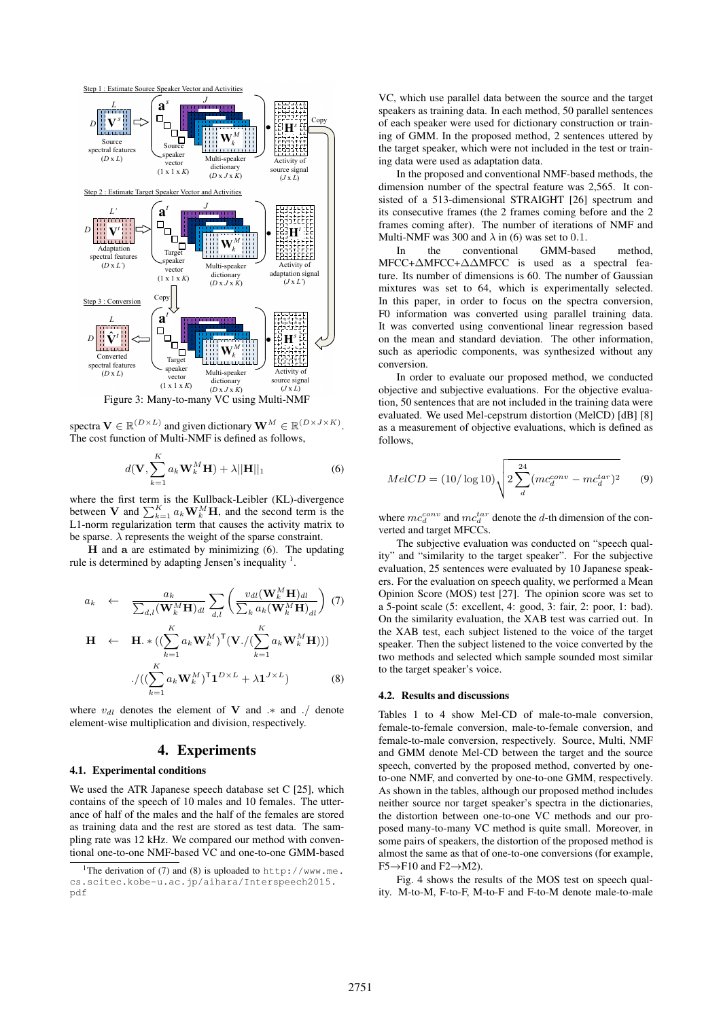

spectra  $\mathbf{V} \in \mathbb{R}^{(D \times L)}$  and given dictionary  $\mathbf{W}^{M} \in \mathbb{R}^{(D \times J \times K)}$ . The cost function of Multi-NMF is defined as follows,

$$
d(\mathbf{V}, \sum_{k=1}^{K} a_k \mathbf{W}_k^M \mathbf{H}) + \lambda ||\mathbf{H}||_1
$$
 (6)

where the first term is the Kullback-Leibler (KL)-divergence between **V** and  $\sum_{k=1}^{K} a_k \mathbf{W}_k^M \mathbf{H}$ , and the second term is the L1-norm regularization term that causes the activity matrix to be sparse.  $\lambda$  represents the weight of the sparse constraint.

**H** and **a** are estimated by minimizing (6). The updating rule is determined by adapting Jensen's inequality <sup>1</sup>.

$$
a_{k} \leftarrow \frac{a_{k}}{\sum_{d,l} (\mathbf{W}_{k}^{M} \mathbf{H})_{dl}} \sum_{d,l} \left( \frac{v_{dl} (\mathbf{W}_{k}^{M} \mathbf{H})_{dl}}{\sum_{k} a_{k} (\mathbf{W}_{k}^{M} \mathbf{H})_{dl}} \right) (7)
$$
  
\n
$$
\mathbf{H} \leftarrow \mathbf{H} \cdot * ((\sum_{k=1}^{K} a_{k} \mathbf{W}_{k}^{M})^{T} (\mathbf{V}./(\sum_{k=1}^{K} a_{k} \mathbf{W}_{k}^{M} \mathbf{H})))
$$
  
\n
$$
./((\sum_{k=1}^{K} a_{k} \mathbf{W}_{k}^{M})^{T} \mathbf{1}^{D \times L} + \lambda \mathbf{1}^{J \times L})
$$
(8)

where  $v_{di}$  denotes the element of **V** and  $*$  and  $\ell$  denote element-wise multiplication and division, respectively.

# 4. Experiments

#### 4.1. Experimental conditions

We used the ATR Japanese speech database set C [25], which contains of the speech of 10 males and 10 females. The utterance of half of the males and the half of the females are stored as training data and the rest are stored as test data. The sampling rate was 12 kHz. We compared our method with conventional one-to-one NMF-based VC and one-to-one GMM-based

VC, which use parallel data between the source and the target speakers as training data. In each method, 50 parallel sentences of each speaker were used for dictionary construction or training of GMM. In the proposed method, 2 sentences uttered by the target speaker, which were not included in the test or training data were used as adaptation data.

In the proposed and conventional NMF-based methods, the dimension number of the spectral feature was 2,565. It consisted of a 513-dimensional STRAIGHT [26] spectrum and its consecutive frames (the 2 frames coming before and the 2 frames coming after). The number of iterations of NMF and Multi-NMF was 300 and  $\lambda$  in (6) was set to 0.1.<br>In the conventional GMM-based

conventional GMM-based method, MFCC+ΔMFCC+ΔΔMFCC is used as a spectral feature. Its number of dimensions is 60. The number of Gaussian mixtures was set to 64, which is experimentally selected. In this paper, in order to focus on the spectra conversion, F0 information was converted using parallel training data. It was converted using conventional linear regression based on the mean and standard deviation. The other information, such as aperiodic components, was synthesized without any conversion.

In order to evaluate our proposed method, we conducted objective and subjective evaluations. For the objective evaluation, 50 sentences that are not included in the training data were evaluated. We used Mel-cepstrum distortion (MelCD) [dB] [8] as a measurement of objective evaluations, which is defined as follows,

$$
MelCD = (10/\log 10) \sqrt{2 \sum_{d}^{24} (mc_d^{conv} - mc_d^{tar})^2}
$$
 (9)

where  $mc_d^{conv}$  and  $mc_d^{tar}$  denote the d-th dimension of the converted and target MFCCs.

The subjective evaluation was conducted on "speech quality" and "similarity to the target speaker". For the subjective evaluation, 25 sentences were evaluated by 10 Japanese speakers. For the evaluation on speech quality, we performed a Mean Opinion Score (MOS) test [27]. The opinion score was set to a 5-point scale (5: excellent, 4: good, 3: fair, 2: poor, 1: bad). On the similarity evaluation, the XAB test was carried out. In the XAB test, each subject listened to the voice of the target speaker. Then the subject listened to the voice converted by the two methods and selected which sample sounded most similar to the target speaker's voice.

#### 4.2. Results and discussions

Tables 1 to 4 show Mel-CD of male-to-male conversion, female-to-female conversion, male-to-female conversion, and female-to-male conversion, respectively. Source, Multi, NMF and GMM denote Mel-CD between the target and the source speech, converted by the proposed method, converted by oneto-one NMF, and converted by one-to-one GMM, respectively. As shown in the tables, although our proposed method includes neither source nor target speaker's spectra in the dictionaries, the distortion between one-to-one VC methods and our proposed many-to-many VC method is quite small. Moreover, in some pairs of speakers, the distortion of the proposed method is almost the same as that of one-to-one conversions (for example,  $F5 \rightarrow F10$  and  $F2 \rightarrow M2$ ).

Fig. 4 shows the results of the MOS test on speech quality. M-to-M, F-to-F, M-to-F and F-to-M denote male-to-male

<sup>&</sup>lt;sup>1</sup>The derivation of (7) and (8) is uploaded to http://www.me. cs.scitec.kobe-u.ac.jp/aihara/Interspeech2015. pdf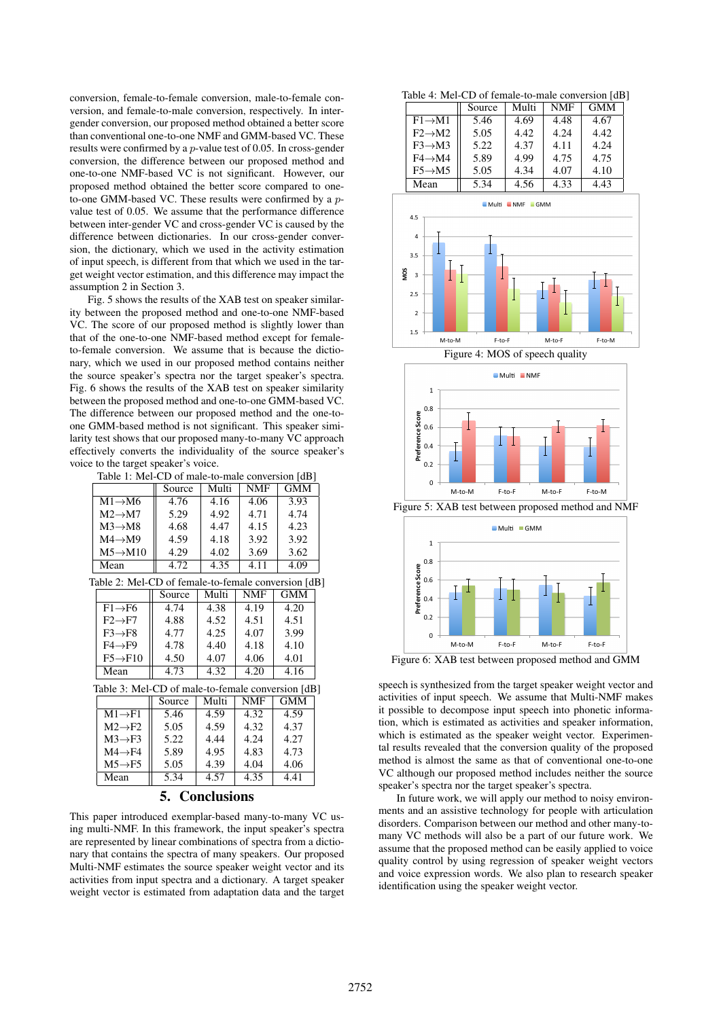conversion, female-to-female conversion, male-to-female conversion, and female-to-male conversion, respectively. In intergender conversion, our proposed method obtained a better score than conventional one-to-one NMF and GMM-based VC. These results were confirmed by a p-value test of 0.05. In cross-gender conversion, the difference between our proposed method and one-to-one NMF-based VC is not significant. However, our proposed method obtained the better score compared to oneto-one GMM-based VC. These results were confirmed by a pvalue test of 0.05. We assume that the performance difference between inter-gender VC and cross-gender VC is caused by the difference between dictionaries. In our cross-gender conversion, the dictionary, which we used in the activity estimation of input speech, is different from that which we used in the target weight vector estimation, and this difference may impact the assumption 2 in Section 3.

Fig. 5 shows the results of the XAB test on speaker similarity between the proposed method and one-to-one NMF-based VC. The score of our proposed method is slightly lower than that of the one-to-one NMF-based method except for femaleto-female conversion. We assume that is because the dictionary, which we used in our proposed method contains neither the source speaker's spectra nor the target speaker's spectra. Fig. 6 shows the results of the XAB test on speaker similarity between the proposed method and one-to-one GMM-based VC. The difference between our proposed method and the one-toone GMM-based method is not significant. This speaker similarity test shows that our proposed many-to-many VC approach effectively converts the individuality of the source speaker's voice to the target speaker's voice.

Table 1: Mel-CD of male-to-male conversion [dB]

|                      | Source | Multi | <b>NMF</b> | <b>GMM</b> |
|----------------------|--------|-------|------------|------------|
| $M1 \rightarrow M6$  | 4.76   | 4.16  | 4.06       | 3.93       |
| $M2 \rightarrow M7$  | 5.29   | 4.92  | 4.71       | 4.74       |
| $M3 \rightarrow M8$  | 4.68   | 4.47  | 4.15       | 4.23       |
| $M4 \rightarrow M9$  | 4.59   | 4.18  | 3.92       | 3.92       |
| $M5 \rightarrow M10$ | 4.29   | 4.02  | 3.69       | 3.62       |
| Mean                 | 4.72   | 4.35  | 4.11       | 4.09       |

| Table 2: Mel-CD of female-to-female conversion [dB] |                      |        |       |            |            |  |  |
|-----------------------------------------------------|----------------------|--------|-------|------------|------------|--|--|
|                                                     |                      | Source | Multi | <b>NMF</b> | <b>GMM</b> |  |  |
|                                                     | $F1 \rightarrow F6$  | 4.74   | 4.38  | 4.19       | 4.20       |  |  |
|                                                     | $F2 \rightarrow F7$  | 4.88   | 4.52  | 4.51       | 4.51       |  |  |
|                                                     | $F3 \rightarrow F8$  | 4.77   | 4.25  | 4.07       | 3.99       |  |  |
|                                                     | $F4 \rightarrow F9$  | 4.78   | 4.40  | 4.18       | 4.10       |  |  |
|                                                     | $F5 \rightarrow F10$ | 4.50   | 4.07  | 4.06       | 4.01       |  |  |
|                                                     | Mean                 | 4.73   | 4.32  | 4.20       | 4.16       |  |  |
| Table 3: Mel-CD of male-to-female conversion [dB]   |                      |        |       |            |            |  |  |
|                                                     |                      | Source | Multi | <b>NMF</b> | <b>GMM</b> |  |  |
|                                                     | $M1 \rightarrow F1$  | 5.46   | 4.59  | 4.32       | 4.59       |  |  |
|                                                     | $M2 \rightarrow F2$  | 5.05   | 4.59  | 4.32       | 4.37       |  |  |
|                                                     | $M3 \rightarrow F3$  | 5.22   | 4.44  | 4.24       | 4.27       |  |  |
|                                                     | $M4 \rightarrow F4$  | 5.89   | 4.95  | 4.83       | 4.73       |  |  |

# Mean || 5.34 | 4.57 | 4.35 | 4.41 5. Conclusions

 $M5 \rightarrow F5$  | 5.05 | 4.39 | 4.04 | 4.06

This paper introduced exemplar-based many-to-many VC using multi-NMF. In this framework, the input speaker's spectra are represented by linear combinations of spectra from a dictionary that contains the spectra of many speakers. Our proposed Multi-NMF estimates the source speaker weight vector and its activities from input spectra and a dictionary. A target speaker weight vector is estimated from adaptation data and the target

Table 4: Mel-CD of female-to-male conversion [dB]

|                     | Source | Multi | <b>NMF</b> | <b>GMM</b> |
|---------------------|--------|-------|------------|------------|
| $F1 \rightarrow M1$ | 5.46   | 4.69  | 4.48       | 4.67       |
| $F2 \rightarrow M2$ | 5.05   | 4.42  | 4.24       | 4.42       |
| $F3 \rightarrow M3$ | 5.22   | 4.37  | 4.11       | 4.24       |
| $F4 \rightarrow M4$ | 5.89   | 4.99  | 4.75       | 4.75       |
| $F5 \rightarrow M5$ | 5.05   | 4.34  | 4.07       | 4.10       |
| Mean                | 5.34   | 4.56  | 4.33       | 4.43       |



Figure 4: MOS of speech quality



Figure 5: XAB test between proposed method and NMF



Figure 6: XAB test between proposed method and GMM

speech is synthesized from the target speaker weight vector and activities of input speech. We assume that Multi-NMF makes it possible to decompose input speech into phonetic information, which is estimated as activities and speaker information, which is estimated as the speaker weight vector. Experimental results revealed that the conversion quality of the proposed method is almost the same as that of conventional one-to-one VC although our proposed method includes neither the source speaker's spectra nor the target speaker's spectra.

In future work, we will apply our method to noisy environments and an assistive technology for people with articulation disorders. Comparison between our method and other many-tomany VC methods will also be a part of our future work. We assume that the proposed method can be easily applied to voice quality control by using regression of speaker weight vectors and voice expression words. We also plan to research speaker identification using the speaker weight vector.